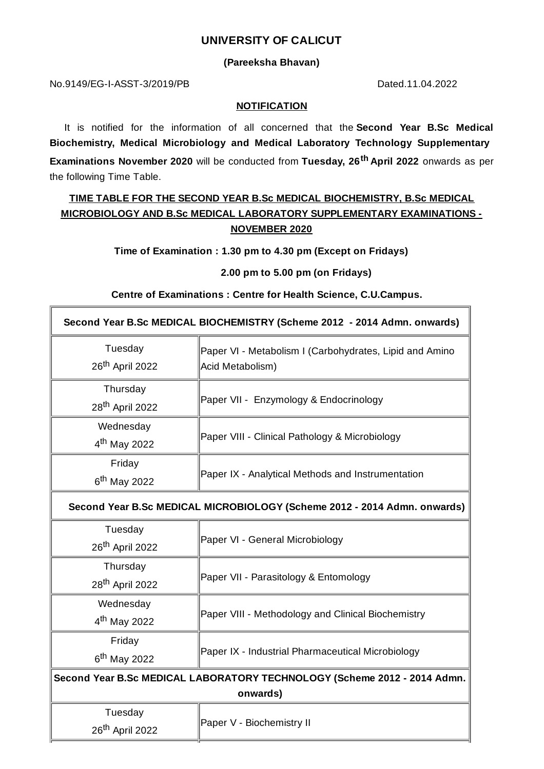### **UNIVERSITY OF CALICUT**

#### **(Pareeksha Bhavan)**

No.9149/EG-I-ASST-3/2019/PB Dated.11.04.2022

#### **NOTIFICATION**

It is notified for the information of all concerned that the **Second Year B.Sc Medical Biochemistry, Medical Microbiology and Medical Laboratory Technology Supplementary Examinations November 2020** will be conducted from **Tuesday, 26 th April 2022** onwards as per the following Time Table.

# **TIME TABLE FOR THE SECOND YEAR B.Sc MEDICAL BIOCHEMISTRY, B.Sc MEDICAL MICROBIOLOGY AND B.Sc MEDICAL LABORATORY SUPPLEMENTARY EXAMINATIONS - NOVEMBER 2020**

**Time of Examination : 1.30 pm to 4.30 pm (Except on Fridays)**

#### **2.00 pm to 5.00 pm (on Fridays)**

### **Centre of Examinations : Centre for Health Science, C.U.Campus.**

| Second Year B.Sc MEDICAL BIOCHEMISTRY (Scheme 2012 - 2014 Admn. onwards) |                                                         |  |
|--------------------------------------------------------------------------|---------------------------------------------------------|--|
| Tuesday                                                                  | Paper VI - Metabolism I (Carbohydrates, Lipid and Amino |  |
| 26 <sup>th</sup> April 2022                                              | Acid Metabolism)                                        |  |
| Thursday                                                                 | Paper VII - Enzymology & Endocrinology                  |  |
| 28 <sup>th</sup> April 2022                                              |                                                         |  |
| Wednesday                                                                | Paper VIII - Clinical Pathology & Microbiology          |  |
| $4th$ May 2022                                                           |                                                         |  |
| Friday                                                                   | Paper IX - Analytical Methods and Instrumentation       |  |
| $6th$ May 2022                                                           |                                                         |  |
| Second Year B.Sc MEDICAL MICROBIOLOGY (Scheme 2012 - 2014 Admn. onwards) |                                                         |  |
| Tuesday                                                                  | Paper VI - General Microbiology                         |  |
| 26 <sup>th</sup> April 2022                                              |                                                         |  |
| Thursday                                                                 | Paper VII - Parasitology & Entomology                   |  |
| 28 <sup>th</sup> April 2022                                              |                                                         |  |
| Wednesday                                                                | Paper VIII - Methodology and Clinical Biochemistry      |  |
| 4 <sup>th</sup> May 2022                                                 |                                                         |  |
| Friday                                                                   | Paper IX - Industrial Pharmaceutical Microbiology       |  |
| $6th$ May 2022                                                           |                                                         |  |
| Second Year B.Sc MEDICAL LABORATORY TECHNOLOGY (Scheme 2012 - 2014 Admn. |                                                         |  |
| onwards)                                                                 |                                                         |  |
| Tuesday                                                                  | Paper V - Biochemistry II                               |  |
| 26 <sup>th</sup> April 2022                                              |                                                         |  |